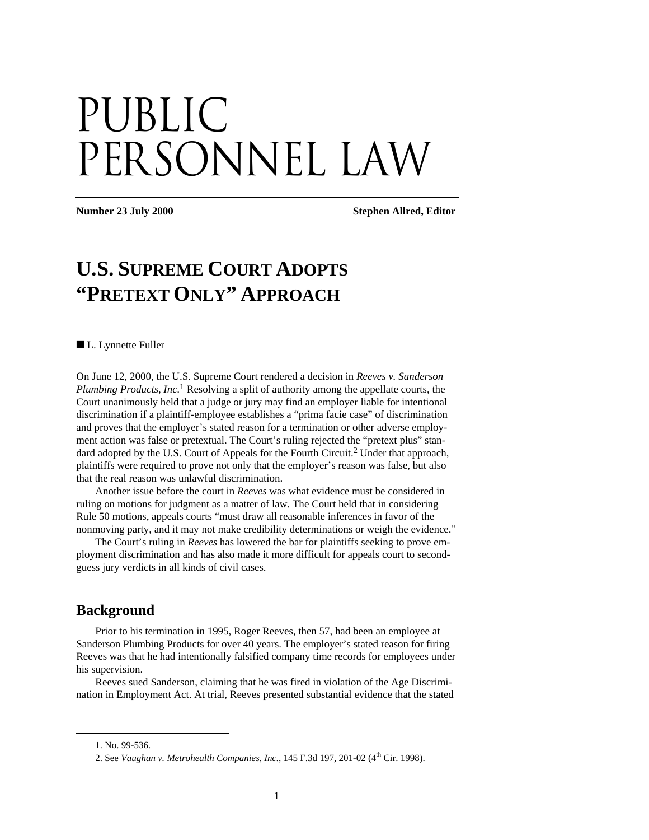# PUBLIC PERSONNEL LAW

**Number 23 July 2000 Stephen Allred, Editor** 

# **U.S. SUPREME COURT ADOPTS "PRETEXT ONLY" APPROACH**

■ L. Lynnette Fuller

On June 12, 2000, the U.S. Supreme Court rendered a decision in *Reeves v. Sanderson Plumbing Products, Inc.*1 Resolving a split of authority among the appellate courts, the Court unanimously held that a judge or jury may find an employer liable for intentional discrimination if a plaintiff-employee establishes a "prima facie case" of discrimination and proves that the employer's stated reason for a termination or other adverse employment action was false or pretextual. The Court's ruling rejected the "pretext plus" standard adopted by the U.S. Court of Appeals for the Fourth Circuit.2 Under that approach, plaintiffs were required to prove not only that the employer's reason was false, but also that the real reason was unlawful discrimination.

Another issue before the court in *Reeves* was what evidence must be considered in ruling on motions for judgment as a matter of law. The Court held that in considering Rule 50 motions, appeals courts "must draw all reasonable inferences in favor of the nonmoving party, and it may not make credibility determinations or weigh the evidence."

The Court's ruling in *Reeves* has lowered the bar for plaintiffs seeking to prove employment discrimination and has also made it more difficult for appeals court to secondguess jury verdicts in all kinds of civil cases.

#### **Background**

Prior to his termination in 1995, Roger Reeves, then 57, had been an employee at Sanderson Plumbing Products for over 40 years. The employer's stated reason for firing Reeves was that he had intentionally falsified company time records for employees under his supervision.

Reeves sued Sanderson, claiming that he was fired in violation of the Age Discrimination in Employment Act. At trial, Reeves presented substantial evidence that the stated

 $\overline{a}$ 

<sup>1.</sup> No. 99-536.

<sup>2.</sup> See Vaughan v. Metrohealth Companies, Inc., 145 F.3d 197, 201-02 (4<sup>th</sup> Cir. 1998).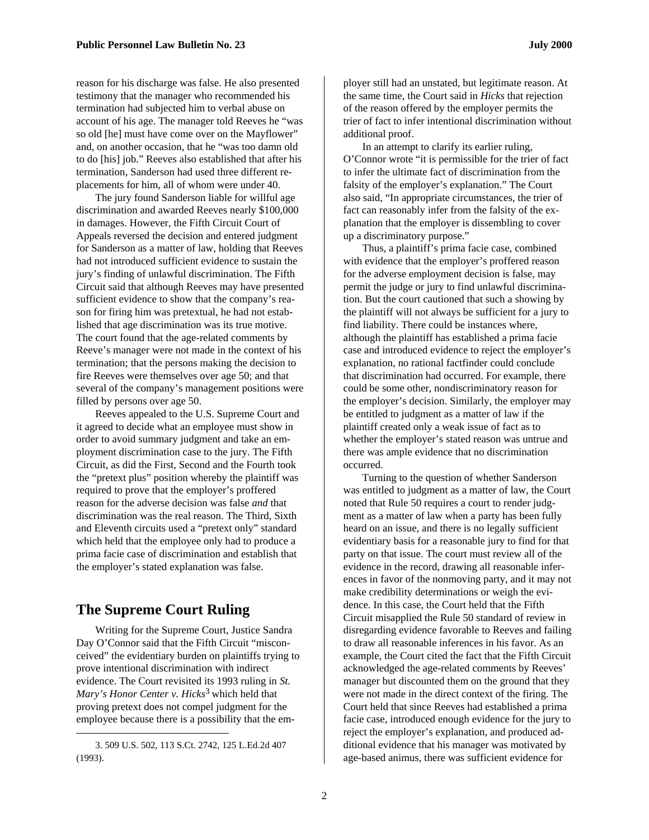reason for his discharge was false. He also presented testimony that the manager who recommended his termination had subjected him to verbal abuse on account of his age. The manager told Reeves he "was so old [he] must have come over on the Mayflower" and, on another occasion, that he "was too damn old to do [his] job." Reeves also established that after his termination, Sanderson had used three different replacements for him, all of whom were under 40.

The jury found Sanderson liable for willful age discrimination and awarded Reeves nearly \$100,000 in damages. However, the Fifth Circuit Court of Appeals reversed the decision and entered judgment for Sanderson as a matter of law, holding that Reeves had not introduced sufficient evidence to sustain the jury's finding of unlawful discrimination. The Fifth Circuit said that although Reeves may have presented sufficient evidence to show that the company's reason for firing him was pretextual, he had not established that age discrimination was its true motive. The court found that the age-related comments by Reeve's manager were not made in the context of his termination; that the persons making the decision to fire Reeves were themselves over age 50; and that several of the company's management positions were filled by persons over age 50.

Reeves appealed to the U.S. Supreme Court and it agreed to decide what an employee must show in order to avoid summary judgment and take an employment discrimination case to the jury. The Fifth Circuit, as did the First, Second and the Fourth took the "pretext plus" position whereby the plaintiff was required to prove that the employer's proffered reason for the adverse decision was false *and* that discrimination was the real reason. The Third, Sixth and Eleventh circuits used a "pretext only" standard which held that the employee only had to produce a prima facie case of discrimination and establish that the employer's stated explanation was false.

### **The Supreme Court Ruling**

Writing for the Supreme Court, Justice Sandra Day O'Connor said that the Fifth Circuit "misconceived" the evidentiary burden on plaintiffs trying to prove intentional discrimination with indirect evidence. The Court revisited its 1993 ruling in *St. Mary's Honor Center v. Hicks*3 which held that proving pretext does not compel judgment for the employee because there is a possibility that the em-

1

ployer still had an unstated, but legitimate reason. At the same time, the Court said in *Hicks* that rejection of the reason offered by the employer permits the trier of fact to infer intentional discrimination without additional proof.

In an attempt to clarify its earlier ruling, O'Connor wrote "it is permissible for the trier of fact to infer the ultimate fact of discrimination from the falsity of the employer's explanation." The Court also said, "In appropriate circumstances, the trier of fact can reasonably infer from the falsity of the explanation that the employer is dissembling to cover up a discriminatory purpose."

Thus, a plaintiff's prima facie case, combined with evidence that the employer's proffered reason for the adverse employment decision is false, may permit the judge or jury to find unlawful discrimination. But the court cautioned that such a showing by the plaintiff will not always be sufficient for a jury to find liability. There could be instances where, although the plaintiff has established a prima facie case and introduced evidence to reject the employer's explanation, no rational factfinder could conclude that discrimination had occurred. For example, there could be some other, nondiscriminatory reason for the employer's decision. Similarly, the employer may be entitled to judgment as a matter of law if the plaintiff created only a weak issue of fact as to whether the employer's stated reason was untrue and there was ample evidence that no discrimination occurred.

Turning to the question of whether Sanderson was entitled to judgment as a matter of law, the Court noted that Rule 50 requires a court to render judgment as a matter of law when a party has been fully heard on an issue, and there is no legally sufficient evidentiary basis for a reasonable jury to find for that party on that issue. The court must review all of the evidence in the record, drawing all reasonable inferences in favor of the nonmoving party, and it may not make credibility determinations or weigh the evidence. In this case, the Court held that the Fifth Circuit misapplied the Rule 50 standard of review in disregarding evidence favorable to Reeves and failing to draw all reasonable inferences in his favor. As an example, the Court cited the fact that the Fifth Circuit acknowledged the age-related comments by Reeves' manager but discounted them on the ground that they were not made in the direct context of the firing. The Court held that since Reeves had established a prima facie case, introduced enough evidence for the jury to reject the employer's explanation, and produced additional evidence that his manager was motivated by age-based animus, there was sufficient evidence for

<sup>3. 509</sup> U.S. 502, 113 S.Ct. 2742, 125 L.Ed.2d 407 (1993).